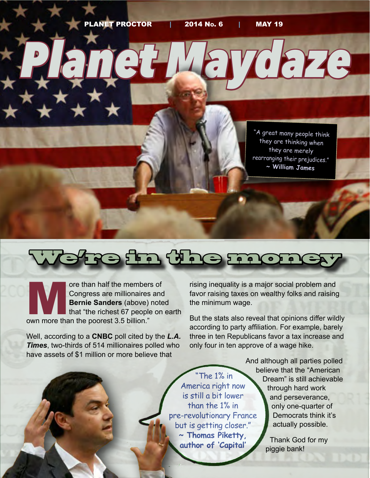### ANET PROCTOR | 2014 No. 6 | MAY 19

"A great many people think they are thinking when they are merely rearranging their prejudices." **~ William James**

*Planet Maydaze*

# Te fin the mo

ore than half the members of<br>
Congress are millionaires and<br>
Bernie Sanders (above) note<br>
that "the richest 67 people on<br>
own more than the poorest 3.5 billion." Congress are millionaires and **Bernie Sanders** (above) noted that "the richest 67 people on earth

Well, according to a **CNBC** poll cited by the *L.A. Times*, two-thirds of 514 millionaires polled who have assets of \$1 million or more believe that

rising inequality is a major social problem and favor raising taxes on wealthy folks and raising the minimum wage.

But the stats also reveal that opinions differ wildly according to party affiliation. For example, barely three in ten Republicans favor a tax increase and only four in ten approve of a wage hike.

 "The 1% in America right now is still a bit lower than the 1% in pre-revolutionary France but is getting closer." **~ Thomas Piketty, author of 'Capital'**

And although all parties polled believe that the "American Dream" is still achievable through hard work and perseverance, only one-quarter of Democrats think it's actually possible.

> Thank God for my piggie bank!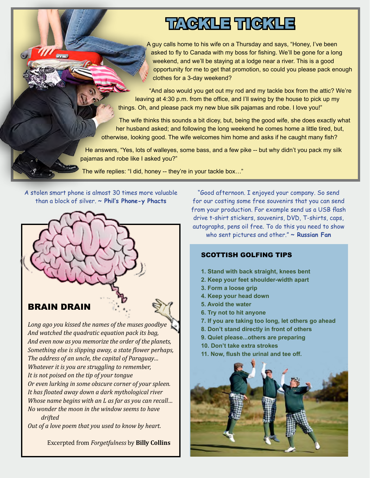## **TACKLE TIGKLE**

A guy calls home to his wife on a Thursday and says, "Honey, I've been asked to fly to Canada with my boss for fishing. We'll be gone for a long weekend, and we'll be staying at a lodge near a river. This is a good opportunity for me to get that promotion, so could you please pack enough clothes for a 3-day weekend?

"And also would you get out my rod and my tackle box from the attic? We're leaving at 4:30 p.m. from the office, and I'll swing by the house to pick up my things. Oh, and please pack my new blue silk pajamas and robe. I love you!"

The wife thinks this sounds a bit dicey, but, being the good wife, she does exactly what her husband asked; and following the long weekend he comes home a little tired, but, otherwise, looking good. The wife welcomes him home and asks if he caught many fish?

He answers, "Yes, lots of walleyes, some bass, and a few pike -- but why didn't you pack my silk pajamas and robe like I asked you?"

The wife replies: "I did, honey -- they're in your tackle box…"

A stolen smart phone is almost 30 times more valuable than a block of silver. **~ Phil's Phone-y Phacts**

#### BRAIN DRAIN

*Long ago you kissed the names of the muses goodbye And watched the quadratic equation pack its bag, And even now as you memorize the order of the planets, Something else is slipping away, a state flower perhaps, The address of an uncle, the capital of Paraguay… Whatever it is you are struggling to remember, It is not poised on the tip of your tongue Or even lurking in some obscure corner of your spleen. It has floated away down a dark mythological river Whose name begins with an L as far as you can recall… No wonder the moon in the window seems to have drifted* 

*Out of a love poem that you used to know by heart.*

Excerpted from *Forgetfulness* by **Billy Collins**

"Good afternoon. I enjoyed your company. So send for our costing some free souvenirs that you can send from your production. For example send us a USB flash drive t-shirt stickers, souvenirs, DVD, T-shirts, caps, autographs, pens oil free. To do this you need to show who sent pictures and other." **~ Russian Fan**

#### SCOTTISH GOLFING TIPS

- **1. Stand with back straight, knees bent**
- **2. Keep your feet shoulder-width apart**
- **3. Form a loose grip**
- **4. Keep your head down**
- **5. Avoid the water**
- **6. Try not to hit anyone**
- **7. If you are taking too long, let others go ahead**
- **8. Don't stand directly in front of others**
- **9. Quiet please...others are preparing**
- **10. Don't take extra strokes**
- **11. Now, flush the urinal and tee off.**

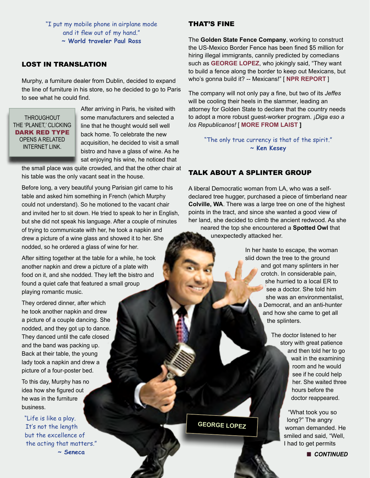"I put my mobile phone in airplane mode and it flew out of my hand." **~ World traveler Paul Ross**

#### LOST IN TRANSLATION

Murphy, a furniture dealer from Dublin, decided to expand the line of furniture in his store, so he decided to go to Paris to see what he could find.

#### THROUGHOUT THE 'PLANET,' CLICKING DARK RED TYPE OPENS A RELATED INTERNET LINK.

After arriving in Paris, he visited with some manufacturers and selected a line that he thought would sell well back home. To celebrate the new acquisition, he decided to visit a small bistro and have a glass of wine. As he sat enjoying his wine, he noticed that

the small place was quite crowded, and that the other chair at his table was the only vacant seat in the house.

Before long, a very beautiful young Parisian girl came to his table and asked him something in French (which Murphy could not understand). So he motioned to the vacant chair and invited her to sit down. He tried to speak to her in English, but she did not speak his language. After a couple of minutes of trying to communicate with her, he took a napkin and drew a picture of a wine glass and showed it to her. She nodded, so he ordered a glass of wine for her.

After sitting together at the table for a while, he took another napkin and drew a picture of a plate with food on it, and she nodded. They left the bistro and found a quiet cafe that featured a small group playing romantic music.

They ordered dinner, after which he took another napkin and drew a picture of a couple dancing. She nodded, and they got up to dance. They danced until the cafe closed and the band was packing up. Back at their table, the young lady took a napkin and drew a picture of a four-poster bed.

To this day, Murphy has no idea how she figured out he was in the furniture business.

"Life is like a play. It's not the length but the excellence of the acting that matters." **~ Seneca**

#### THAT'S FINE

The **Golden State Fence Company**, working to construct the US-Mexico Border Fence has been fined \$5 million for hiring illegal immigrants, cannily predicted by comedians such as **[GEORGE LOPEZ](http://www.georgelopez.com/home/home.html)**, who jokingly said, "They want to build a fence along the border to keep out Mexicans, but who's gonna build it? -- Mexicans!" [ **[NPR REPORT](http://www.npr.org/templates/story/story.php?storyId=6626823)** ]

The company will not only pay a fine, but two of its *Jeffes* will be cooling their heels in the slammer, leading an attorney for Golden State to declare that the country needs to adopt a more robust guest-worker program. *¡Diga eso a los Republicanos!* [ **[MORE FROM LAIST](http://laist.com/2006/12/15/firm_contracted_to_build_fence_on_usmexico_border_is_fined_for_hiring_illegal_workers.php) ]**

> "The only true currency is that of the spirit." **~ Ken Kesey**

#### TALK ABOUT A SPLINTER GROUP

A liberal Democratic woman from LA, who was a selfdeclared tree hugger, purchased a piece of timberland near **Colville, WA**. There was a large tree on one of the highest points in the tract, and since she wanted a good view of her land, she decided to climb the ancient redwood. As she neared the top she encountered a **Spotted Owl** that unexpectedly attacked her.

> In her haste to escape, the woman slid down the tree to the ground and got many splinters in her crotch. In considerable pain, she hurried to a local ER to see a doctor. She told him she was an environmentalist, a Democrat, and an anti-hunter and how she came to get all the splinters.

> > The doctor listened to her story with great patience and then told her to go wait in the examining room and he would see if he could help her. She waited three hours before the doctor reappeared.

> > > "What took you so long?" The angry woman demanded. He smiled and said, "Well, I had to get permits

**GEORGE LOPEZ**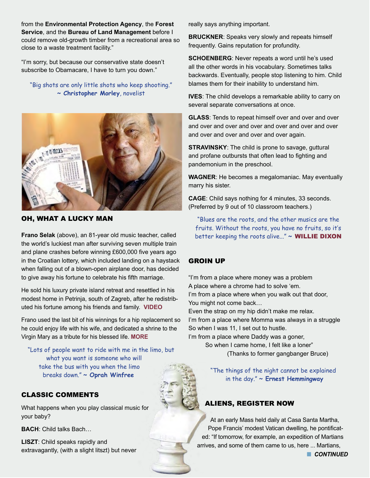from the **Environmental Protection Agency**, the **Forest Service**, and the **Bureau of Land Management** before I could remove old-growth timber from a recreational area so close to a waste treatment facility."

"I'm sorry, but because our conservative state doesn't subscribe to Obamacare, I have to turn you down."

"Big shots are only little shots who keep shooting." **~ Christopher Morley**, novelist



#### OH, WHAT A LUCKY MAN

**Frano Selak** (above), an 81-year old music teacher, called the world's luckiest man after surviving seven multiple train and plane crashes before winning £600,000 five years ago in the Croatian lottery, which included landing on a haystack when falling out of a blown-open airplane door, has decided to give away his fortune to celebrate his fifth marriage.

He sold his luxury private island retreat and resettled in his modest home in Petrinja, south of Zagreb, after he redistributed his fortune among his friends and family. **[VIDEO](https://www.youtube.com/watch?v=dZyUWLW7kEI)**

Frano used the last bit of his winnings for a hip replacement so he could enjoy life with his wife, and dedicated a shrine to the Virgin Mary as a tribute for his blessed life. **[MORE](http://www.telegraph.co.uk/news/newstopics/howaboutthat/7721985/Frano-Selak-worlds-luckiest-man-gives-away-his-lottery-fortune.html)**

"Lots of people want to ride with me in the limo, but what you want is someone who will take the bus with you when the limo breaks down." **~ Oprah Winfree**

#### CLASSIC COMMENTS

What happens when you play classical music for your baby?

**BACH**: Child talks Bach…

**LISZT**: Child speaks rapidly and extravagantly, (with a slight litszt) but never really says anything important.

**BRUCKNER**: Speaks very slowly and repeats himself frequently. Gains reputation for profundity.

**SCHOENBERG**: Never repeats a word until he's used all the other words in his vocabulary. Sometimes talks backwards. Eventually, people stop listening to him. Child blames them for their inability to understand him.

**IVES**: The child develops a remarkable ability to carry on several separate conversations at once.

**GLASS**: Tends to repeat himself over and over and over and over and over and over and over and over and over and over and over and over and over again.

**STRAVINSKY**: The child is prone to savage, guttural and profane outbursts that often lead to fighting and pandemonium in the preschool.

**WAGNER**: He becomes a megalomaniac. May eventually marry his sister.

**CAGE**: Child says nothing for 4 minutes, 33 seconds. (Preferred by 9 out of 10 classroom teachers.)

"Blues are the roots, and the other musics are the fruits. Without the roots, you have no fruits, so it's better keeping the roots alive..." **~** [WILLIE DIXON](http://en.wikipedia.org/wiki/Willie_Dixon)

#### GROIN UP

"I'm from a place where money was a problem A place where a chrome had to solve 'em. I'm from a place where when you walk out that door, You might not come back... Even the strap on my hip didn't make me relax. I'm from a place where Momma was always in a struggle

So when I was 11, I set out to hustle.

I'm from a place where Daddy was a goner, So when I came home, I felt like a loner"

(Thanks to former gangbanger Bruce)

"The things of the night cannot be explained in the day." **~ Ernest Hemmingway**

#### ALIENS, REGISTER NOW

At an early Mass held daily at Casa Santa Martha, Pope Francis' modest Vatican dwelling, he pontificated: "If tomorrow, for example, an expedition of Martians arrives, and some of them came to us, here ... Martians,